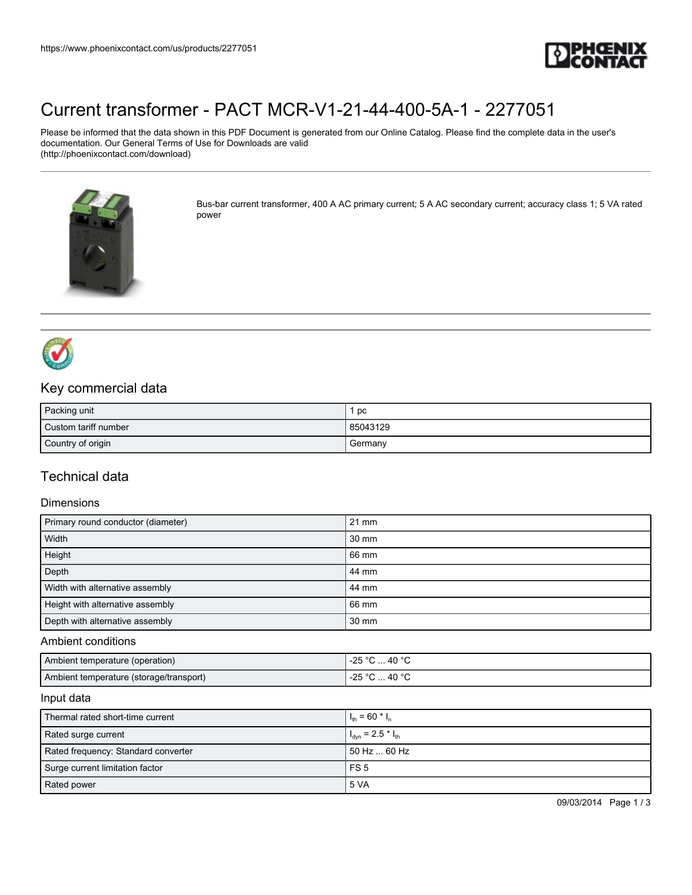

# [Current transformer - PACT MCR-V1-21-44-400-5A-1 - 2277051](https://www.phoenixcontact.com/us/products/2277051)

Please be informed that the data shown in this PDF Document is generated from our Online Catalog. Please find the complete data in the user's documentation. Our General Terms of Use for Downloads are valid (http://phoenixcontact.com/download)



Bus-bar current transformer, 400 A AC primary current; 5 A AC secondary current; accuracy class 1; 5 VA rated power



### Key commercial data

| Packing unit         | pc       |
|----------------------|----------|
| Custom tariff number | 85043129 |
| Country of origin    | Germany  |

### Technical data

#### Dimensions

| Primary round conductor (diameter) | $21 \text{ mm}$ |
|------------------------------------|-----------------|
| Width                              | 30 mm           |
| Height                             | 66 mm           |
| Depth                              | 44 mm           |
| Width with alternative assembly    | 44 mm           |
| Height with alternative assembly   | 66 mm           |
| Depth with alternative assembly    | 30 mm           |

#### Ambient conditions

| Ambient temperature (operation)         | -25 °C  40 °C        |
|-----------------------------------------|----------------------|
| Ambient temperature (storage/transport) | -25 °C<br>° 40 °C. ٺ |

#### Input data

| Thermal rated short-time current    | $I_{\text{th}}$ = 60 $^{\star}$ $I_{\text{n}}$ |
|-------------------------------------|------------------------------------------------|
| Rated surge current                 | $I_{dyn} = 2.5 * I_{th}$                       |
| Rated frequency: Standard converter | 50 Hz  60 Hz                                   |
| Surge current limitation factor     | FS <sub>5</sub>                                |
| Rated power                         | 5 VA                                           |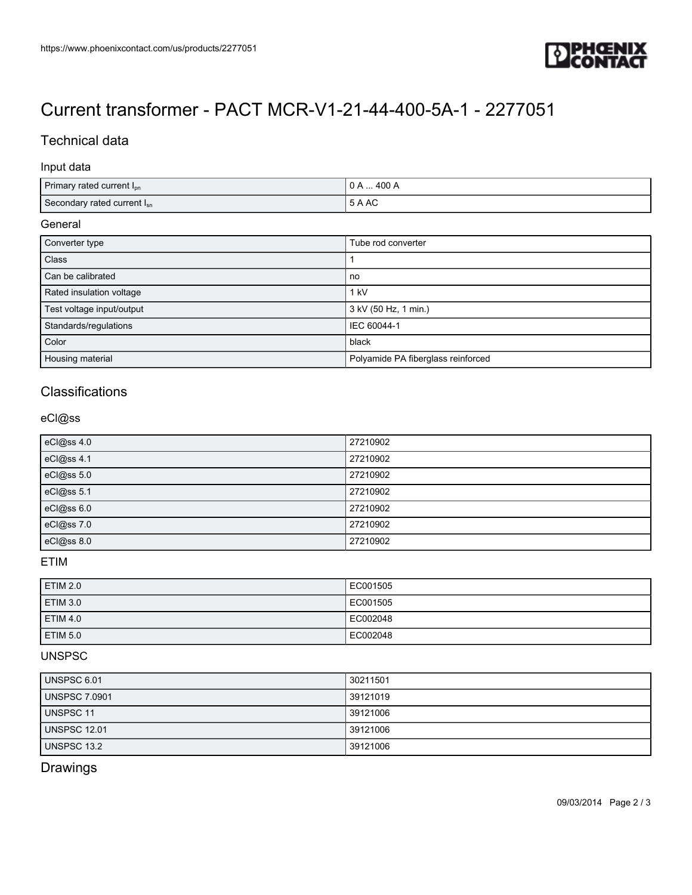

# [Current transformer - PACT MCR-V1-21-44-400-5A-1 - 2277051](https://www.phoenixcontact.com/us/products/2277051)

## Technical data

#### Input data

| Primary rated current I <sub>pn</sub> | $0$ A $\dots$ 400 A |
|---------------------------------------|---------------------|
| Secondary rated current $I_{sn}$      | 5 A AC              |

#### **General**

| Converter type            | Tube rod converter                 |
|---------------------------|------------------------------------|
| Class                     |                                    |
| Can be calibrated         | no                                 |
| Rated insulation voltage  | 1 kV                               |
| Test voltage input/output | 3 kV (50 Hz, 1 min.)               |
| Standards/regulations     | IEC 60044-1                        |
| Color                     | black                              |
| Housing material          | Polyamide PA fiberglass reinforced |

### **Classifications**

#### eCl@ss

| eCl@ss 4.0 | 27210902 |
|------------|----------|
| eCl@ss 4.1 | 27210902 |
| eCl@ss 5.0 | 27210902 |
| eCl@ss 5.1 | 27210902 |
| eCl@ss 6.0 | 27210902 |
| eCl@ss 7.0 | 27210902 |
| eCl@ss 8.0 | 27210902 |

#### ETIM

| <b>ETIM 2.0</b> | EC001505 |
|-----------------|----------|
| <b>ETIM 3.0</b> | EC001505 |
| <b>ETIM 4.0</b> | EC002048 |
| <b>ETIM 5.0</b> | EC002048 |

#### UNSPSC

| UNSPSC 6.01          | 30211501 |
|----------------------|----------|
| <b>UNSPSC 7.0901</b> | 39121019 |
| UNSPSC 11            | 39121006 |
| <b>UNSPSC 12.01</b>  | 39121006 |
| UNSPSC 13.2          | 39121006 |

## Drawings